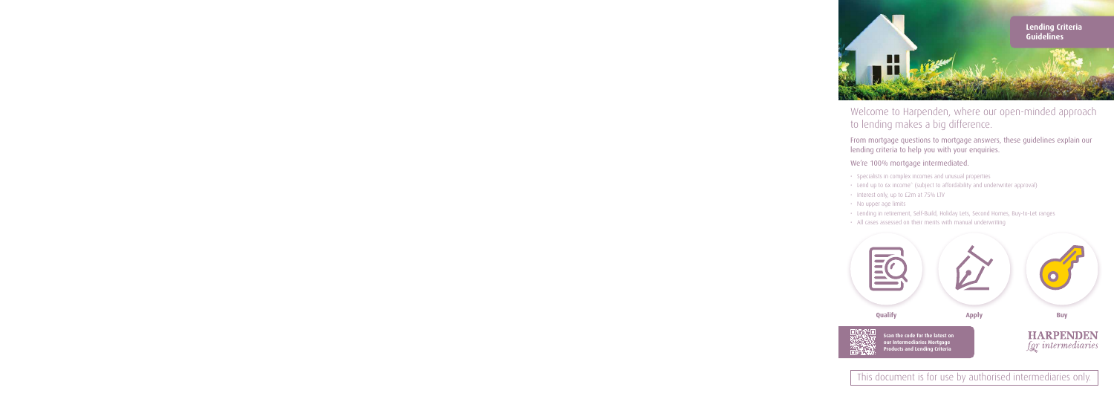

# Welcome to Harpenden, where our open-minded approach to lending makes a big difference.

From mortgage questions to mortgage answers, these guidelines explain our lending criteria to help you with your enquiries.

## We're 100% mortgage intermediated.

- Specialists in complex incomes and unusual properties
- Lend up to 6x income\* (subject to affordability and underwriter approval)
- Interest only, up to £2m at 75% LTV
- No upper age limits
- Lending in retirement, Self-Build, Holiday Lets, Second Homes, Buy-to-Let ranges
- All cases assessed on their merits with manual underwriting



This document is for use by authorised intermediaries only.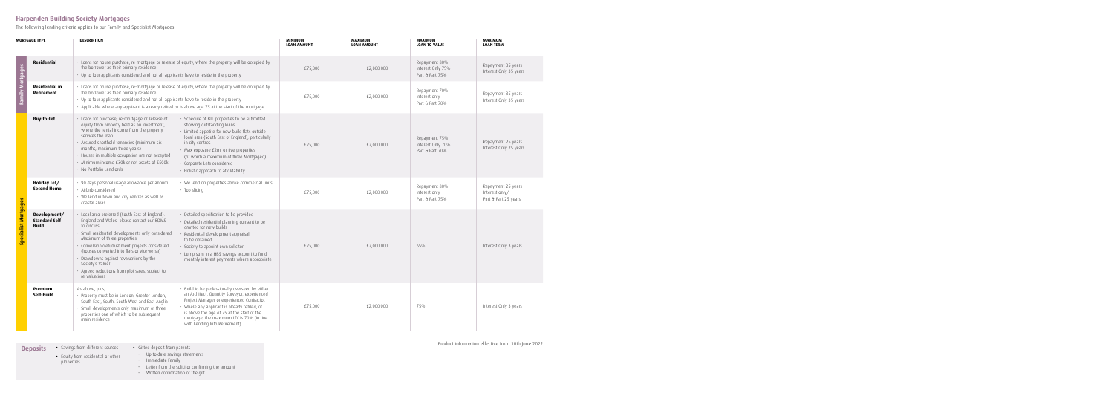## **Harpenden Building Society Mortgages**

The following lending criteria applies to our Family and Specialist Mortgages:

| MORTGAGE TYPE               |                                                      | <b>DESCRIPTION</b>                                                                                                                                                                                                                                                                                                                                                                                                                  |                                                                                                                                                                                                                                                                                                                                                                | <b>MINIMUM</b><br><b>LOAN AMOUNT</b> | <b>MAXIMUM</b><br><b>LOAN AMOUNT</b> | <b>MAXIMUM</b><br><b>LOAN TO VALUE</b>                | <b>MAXIMUM</b><br><b>LOAN TERM</b>                           |
|-----------------------------|------------------------------------------------------|-------------------------------------------------------------------------------------------------------------------------------------------------------------------------------------------------------------------------------------------------------------------------------------------------------------------------------------------------------------------------------------------------------------------------------------|----------------------------------------------------------------------------------------------------------------------------------------------------------------------------------------------------------------------------------------------------------------------------------------------------------------------------------------------------------------|--------------------------------------|--------------------------------------|-------------------------------------------------------|--------------------------------------------------------------|
|                             | <b>Residential</b>                                   | · Loans for house purchase, re-mortgage or release of equity, where the property will be occupied by<br>the borrower as their primary residence<br>• Up to four applicants considered and not all applicants have to reside in the property                                                                                                                                                                                         |                                                                                                                                                                                                                                                                                                                                                                | £75,000                              | £2,000,000                           | Repayment 80%<br>Interest Only 75%<br>Part & Part 75% | Repayment 35 years<br>Interest Only 35 years                 |
| <b>Family Mortgages</b>     | <b>Residential in</b><br>Retirement                  | · Loans for house purchase, re-mortgage or release of equity, where the property will be occupied by<br>the borrower as their primary residence<br>• Up to four applicants considered and not all applicants have to reside in the property<br>• Applicable where any applicant is already retired or is above age 75 at the start of the mortgage                                                                                  |                                                                                                                                                                                                                                                                                                                                                                | £75,000                              | £2,000,000                           | Repayment 70%<br>Interest only<br>Part & Part 70%     | Repayment 35 years<br>Interest Only 35 years                 |
| <b>Specialist Mortgages</b> | <b>Buy-to-Let</b>                                    | · Loans for purchase, re-mortgage or release of<br>equity from property held as an investment,<br>where the rental income from the property<br>services the loan<br>· Assured shorthold tenancies (minimum six<br>months, maximum three years)<br>· Houses in multiple occupation are not accepted<br>· Minimum income £30k or net assets of £500k<br>· No Portfolio Landlords                                                      | · Schedule of BTL properties to be submitted<br>showing outstanding loans<br>· Limited appetite for new build flats outside<br>local area (South East of England), particularly<br>in city centres<br>· Max exposure £2m, or five properties<br>(of which a maximum of three Mortgaged)<br>· Corporate Lets considered<br>• Holistic approach to affordability | £75,000                              | £2,000,000                           | Repayment 75%<br>Interest Only 70%<br>Part & Part 70% | Repayment 25 years<br>Interest Only 25 years                 |
|                             | Holiday Let/<br><b>Second Home</b>                   | · 90 days personal usage allowance per annum<br>· Airbnb considered<br>• We lend in town and city centres as well as<br>coastal areas                                                                                                                                                                                                                                                                                               | • We lend on properties above commercial units<br>$\cdot$ Top slicing                                                                                                                                                                                                                                                                                          | £75,000                              | £2,000,000                           | Repayment 80%<br>Interest only<br>Part & Part 75%     | Repayment 25 years<br>Interest only/<br>Part & Part 25 years |
|                             | Development/<br><b>Standard Self</b><br><b>Build</b> | · Local area preferred (South East of England).<br>England and Wales, please contact our BDMS<br>to discuss<br>· Small residential developments only considered.<br>Maximum of three properties<br>· Conversion/refurbishment projects considered<br>(houses converted into flats or vice-versa)<br>• Drawdowns against revaluations by the<br>Society's Valuer<br>· Agreed reductions from plot sales, subject to<br>re-valuations | • Detailed specification to be provided<br>• Detailed residential planning consent to be<br>granted for new builds<br>Residential development appraisal<br>to be obtained<br>• Society to appoint own solicitor<br>• Lump sum in a HBS savings account to fund<br>monthly interest payments where appropriate                                                  | £75,000                              | £2,000,000                           | 65%                                                   | Interest Only 3 years                                        |
|                             | Premium<br>Self-Build                                | As above, plus;<br>· Property must be in London, Greater London,<br>South East, South, South West and East Anglia<br>· Small developments only maximum of three<br>properties one of which to be subsequent<br>main residence                                                                                                                                                                                                       | · Build to be professionally overseen by either<br>an Architect, Quantity Surveyor, experienced<br>Project Manager or experienced Contractor.<br>• Where any applicant is already retired, or<br>is above the age of 75 at the start of the<br>mortgage, the maximum LTV is 70% (in line<br>with Lending Into Retirement)                                      | £75,000                              | £2,000,000                           | 75%                                                   | Interest Only 3 years                                        |
|                             | <b>Deposits</b><br>properties                        | • Savings from different sources<br>• Gifted deposit from parents<br>Up to date savings statements<br>• Equity from residential or other<br>Immediate Family                                                                                                                                                                                                                                                                        | Letter from the solicitor confirming the amount                                                                                                                                                                                                                                                                                                                |                                      |                                      |                                                       | Product information effective from 10th June 2022            |

– Written confirmation of the gift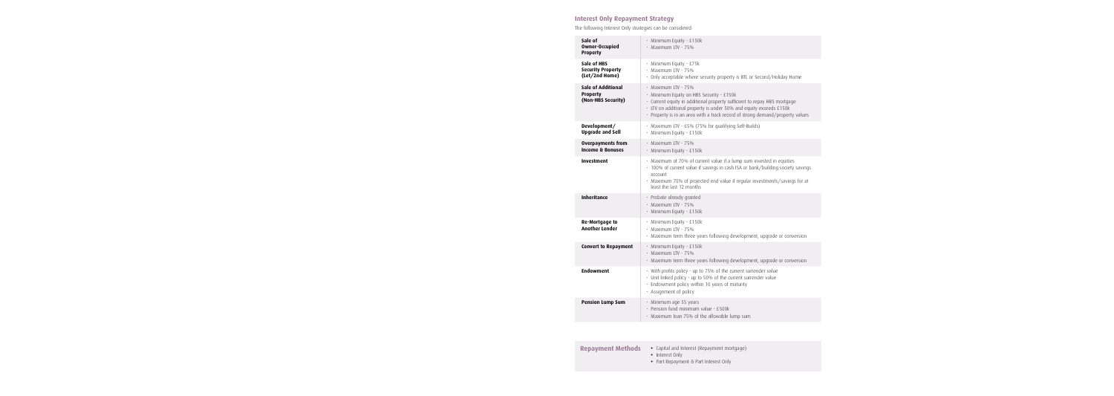## **Interest Only Repayment Strategy**

The following Interest Only strategies can be considered:

| Sale of<br><b>Owner-Occupied</b><br><b>Property</b>                | · Minimum Equity - £150k<br>· Maximum LTV - 75%                                                                                                                                                                                                                                                    |
|--------------------------------------------------------------------|----------------------------------------------------------------------------------------------------------------------------------------------------------------------------------------------------------------------------------------------------------------------------------------------------|
| Sale of HBS<br><b>Security Property</b><br>(Let/2nd Home)          | · Minimum Equity - £75k<br>· Maximum LTV - 75%<br>• Only acceptable where security property is BTL or Second/Holiday Home                                                                                                                                                                          |
| <b>Sale of Additional</b><br><b>Property</b><br>(Non-HBS Security) | · Maximum LTV - 75%<br>· Minimum Equity on HBS Security - £150k<br>• Current equity in additional property sufficient to repay HBS mortgage<br>· LTV on additional property is under 50% and equity exceeds £150k<br>· Property is in an area with a track record of strong demand/property values |
| Development/<br><b>Upgrade and Sell</b>                            | · Maximum LTV - 65% (75% for qualifying Self-Builds)<br>· Minimum Equity - £150k                                                                                                                                                                                                                   |
| <b>Overpayments from</b><br><b>Income &amp; Bonuses</b>            | · Maximum LTV - 75%<br>· Minimum Equity - £150k                                                                                                                                                                                                                                                    |
| <b>Investment</b>                                                  | · Maximum of 70% of current value if a lump sum invested in equities<br>• 100% of current value if savings in cash ISA or bank/building society savings<br>account<br>· Maximum 70% of projected end value if regular investments/savings for at<br>least the last 12 months                       |
| <b>Inheritance</b>                                                 | · Probate already granted<br>· Maximum LTV - 75%<br>· Minimum Equity - £150k                                                                                                                                                                                                                       |
| <b>Re-Mortgage to</b><br><b>Another Lender</b>                     | · Minimum Equity - £150k<br>· Maximum LTV - 75%<br>• Maximum term three years following development, upgrade or conversion                                                                                                                                                                         |
| <b>Convert to Repayment</b>                                        | · Minimum Equity - £150k<br>· Maximum LTV - 75%<br>• Maximum term three years following development, upgrade or conversion                                                                                                                                                                         |
| <b>Endowment</b>                                                   | • With profits policy - up to 75% of the current surrender value<br>• Unit linked policy - up to 50% of the current surrender value<br>• Endowment policy within 10 years of maturity<br>· Assignment of policy                                                                                    |
| <b>Pension Lump Sum</b>                                            | · Minimum age 55 years<br>· Pension fund minimum value - £500k<br>· Maximum loan 75% of the allowable lump sum                                                                                                                                                                                     |

| <b>Repayment Methods</b> | • Capital and Interest (Repayment mortgage)<br>• Interest Only |
|--------------------------|----------------------------------------------------------------|
|                          | • Part Repayment & Part Interest Only                          |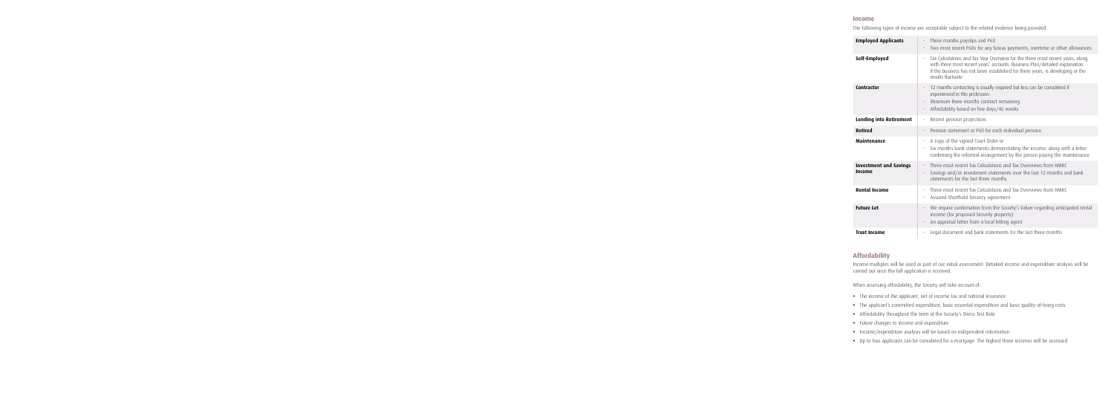#### **Income**

The following types of income are acceptable subject to the related evidence being provided:

| <b>Employed Applicants</b>              | Three months payslips and P60<br>Two most recent P60s for any bonus payments, overtime or other allowances                                                                                                                                                         |
|-----------------------------------------|--------------------------------------------------------------------------------------------------------------------------------------------------------------------------------------------------------------------------------------------------------------------|
| Self-Employed                           | Tax Calculations and Tax Year Overview for the three most recent years, along<br>with three most recent years' accounts. Business Plan/detailed explanation<br>if the business has not been established for three years, is developing or the<br>results fluctuate |
| Contractor                              | 12 months contracting is usually required but less can be considered if<br>experienced in this profession.<br>Minimum three months contract remaining<br>Affordability based on five days/46 weeks<br>$\bullet$                                                    |
| <b>Lending into Retirement</b>          | Recent pension projections<br>$\bullet$                                                                                                                                                                                                                            |
| <b>Retired</b>                          | Pension statement or P60 for each individual pension<br>$\bullet$                                                                                                                                                                                                  |
| <b>Maintenance</b>                      | A copy of the signed Court Order or<br>Six months bank statements demonstrating the income, along with a letter<br>confirming the informal arrangement by the person paying the maintenance                                                                        |
| <b>Investment and Savings</b><br>Income | Three most recent Tax Calculations and Tax Overviews from HMRC<br>$\bullet$<br>Savings and/or investment statements over the last 12 months and bank<br>statements for the last three months                                                                       |
| <b>Rental Income</b>                    | Three most recent Tax Calculations and Tax Overviews from HMRC<br>$\bullet$<br>Assured Shorthold Tenancy agreement                                                                                                                                                 |
| <b>Future Let</b>                       | We require confirmation from the Society's Valuer regarding anticipated rental<br>income (for proposed Security property)<br>An appraisal letter from a local letting agent                                                                                        |
| <b>Trust Income</b>                     | Legal document and bank statements for the last three months<br>$\bullet$                                                                                                                                                                                          |

## **Affordability**

Income multiples will be used as part of our initial assessment. Detailed income and expenditure analysis will be carried out once the full application is received.

When assessing affordability, the Society will take account of:

- **•** The income of the applicant, net of income tax and national insurance
- **•** The applicant's committed expenditure, basic essential expenditure and basic quality-of-living costs
- **•** Affordability throughout the term at the Society's Stress Test Rate
- **•** Future changes to income and expenditure
- **•** Income/expenditure analysis will be based on independent information
- **•** Up to four applicants can be considered for a mortgage. The highest three incomes will be assessed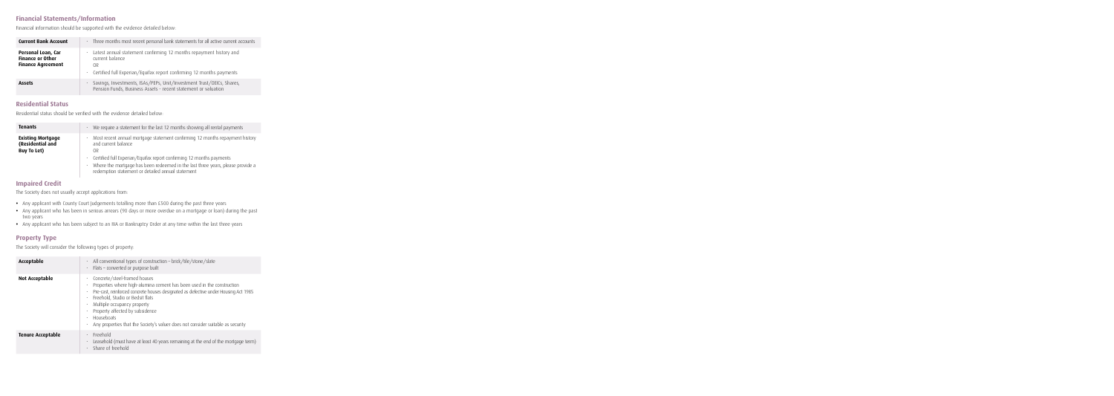## **Financial Statements/Information**

Financial information should be supported with the evidence detailed below:

| <b>Current Bank Account</b>                                               | Three months most recent personal bank statements for all active current accounts<br>$\bullet$                                                                                     |
|---------------------------------------------------------------------------|------------------------------------------------------------------------------------------------------------------------------------------------------------------------------------|
| Personal Loan, Car<br><b>Finance or Other</b><br><b>Finance Agreement</b> | Latest annual statement confirming 12 months repayment history and<br>$\bullet$<br>current balance<br>0R<br>• Certified full Experian/Equifax report confirming 12 months payments |
| <b>Assets</b>                                                             | Savings, Investments, ISAs/PEPs, Unit/Investment Trust/OEICs, Shares,<br>Pension Funds, Business Assets - recent statement or valuation                                            |

### **Residential Status**

Residential status should be verified with the evidence detailed below:

| <b>Tenants</b>                                                     | We require a statement for the last 12 months showing all rental payments                                                                                                                                   |
|--------------------------------------------------------------------|-------------------------------------------------------------------------------------------------------------------------------------------------------------------------------------------------------------|
| <b>Existing Mortgage</b><br>(Residential and<br><b>Buy To Let)</b> | Most recent annual mortgage statement confirming 12 months repayment history<br>and current balance<br>0R                                                                                                   |
|                                                                    | Certified full Experian/Equifax report confirming 12 months payments<br>Where the mortgage has been redeemed in the last three years, please provide a<br>redemption statement or detailed annual statement |

## **Impaired Credit**

The Society does not usually accept applications from:

- **•** Any applicant with County Court Judgements totalling more than £500 during the past three years
- **•** Any applicant who has been in serious arrears (90 days or more overdue on a mortgage or loan) during the past two years
- **•** Any applicant who has been subject to an IVA or Bankruptcy Order at any time within the last three years

### **Property Type**

The Society will consider the following types of property:

| Acceptable               | All conventional types of construction - brick/tile/stone/slate<br>$\bullet$<br>· Flats - converted or purpose built                                                                                                                                                                                                                                                                                 |
|--------------------------|------------------------------------------------------------------------------------------------------------------------------------------------------------------------------------------------------------------------------------------------------------------------------------------------------------------------------------------------------------------------------------------------------|
| <b>Not Acceptable</b>    | Concrete/steel-framed houses<br>Properties where high-alumina cement has been used in the construction<br>Pre-cast, reinforced concrete houses designated as defective under Housing Act 1985<br>Freehold, Studio or Bedsit flats<br>Multiple occupancy property<br>Property affected by subsidence<br>Houseboats<br>Any properties that the Society's valuer does not consider suitable as security |
| <b>Tenure Acceptable</b> | Freehold<br>$\bullet$<br>Leasehold (must have at least 40 years remaining at the end of the mortgage term)<br>Share of freehold                                                                                                                                                                                                                                                                      |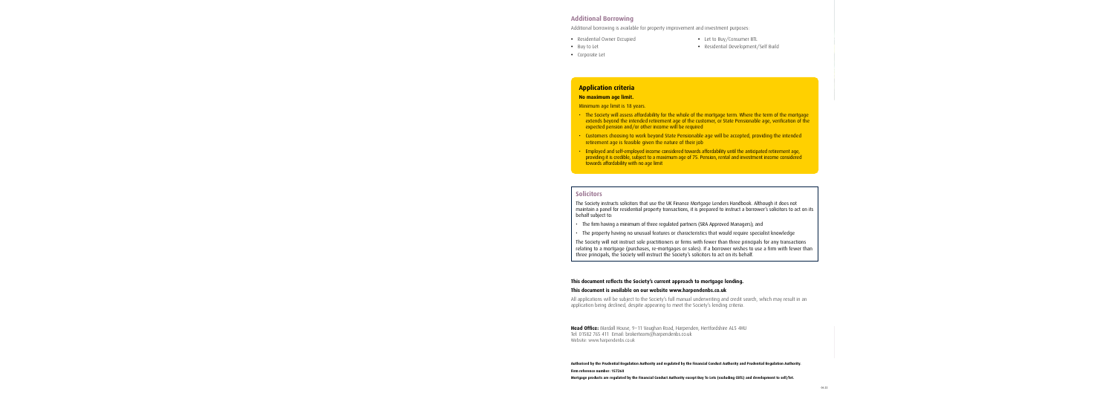## **Additional Borrowing**

Additional borrowing is available for property improvement and investment purposes:

- **•** Residential Owner Occupied
- **•** Buy to Let
- **•** Let to Buy/Consumer BTL
- **•** Residential Development/Self Build

**•** Corporate Let

## **Application criteria**

#### **No maximum age limit.**

Minimum age limit is 18 years.

- The Society will assess affordability for the whole of the mortgage term. Where the term of the mortgage extends beyond the intended retirement age of the customer, or State Pensionable age, verification of the expected pension and/or other income will be required
- Customers choosing to work beyond State Pensionable age will be accepted, providing the intended retirement age is feasible given the nature of their job
- Employed and self-employed income considered towards affordability until the anticipated retirement age, providing it is credible, subject to a maximum age of 75. Pension, rental and investment income considered towards affordability with no age limit

### **Solicitors**

The Society instructs solicitors that use the UK Finance Mortgage Lenders Handbook. Although it does not maintain a panel for residential property transactions, it is prepared to instruct a borrower's solicitors to act on its behalf subject to:

- The firm having a minimum of three regulated partners (SRA Approved Managers); and
- The property having no unusual features or characteristics that would require specialist knowledge

The Society will not instruct sole practitioners or firms with fewer than three principals for any transactions relating to a mortgage (purchases, re-mortgages or sales). If a borrower wishes to use a firm with fewer than three principals, the Society will instruct the Society's solicitors to act on its behalf.

#### **This document reflects the Society's current approach to mortgage lending.**

#### **This document is available on our website www.harpendenbs.co.uk**

All applications will be subject to the Society's full manual underwriting and credit search, which may result in an application being declined, despite appearing to meet the Society's lending criteria.

**Head Office:** Mardall House, 9–11 Vaughan Road, Harpenden, Hertfordshire AL5 4HU Tel: 01582 765 411 Email: brokerteam@harpendenbs.co.uk Website: www.harpendenbs.co.uk

**Authorised by the Prudential Regulation Authority and regulated by the Financial Conduct Authority and Prudential Regulation Authority. Firm reference number: 157260**

**Mortgage products are regulated by the Financial Conduct Authority except Buy To Lets (excluding CBTL) and development to sell/let.**